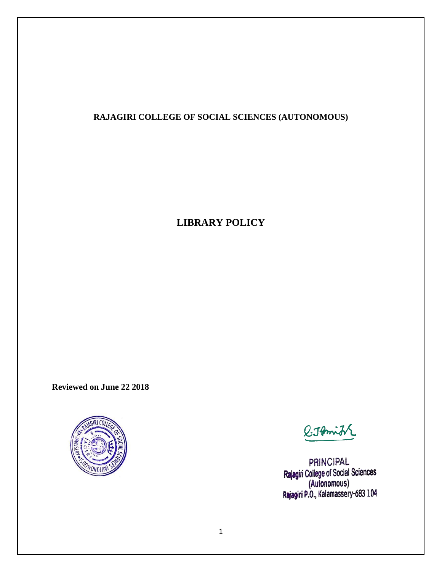# **RAJAGIRI COLLEGE OF SOCIAL SCIENCES (AUTONOMOUS)**

# **LIBRARY POLICY**

**Reviewed on June 22 2018**



*Q.JAmit* 

PRINCIPAL Rajagiri College of Social Sciences<br>(Autonomous)<br>Rajagiri P.O., Kalamassery-683 104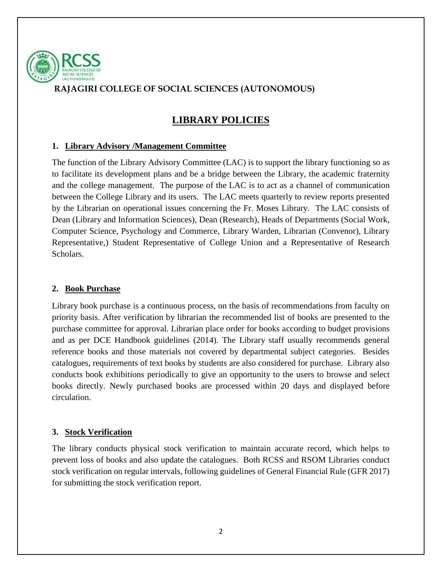

# **RAJAGIRI COLLEGE OF SOCIAL SCIENCES (AUTONOMOUS)**

# **LIBRARY POLICIES**

#### **1. Library Advisory /Management Committee**

The function of the Library Advisory Committee (LAC) is to support the library functioning so as to facilitate its development plans and be a bridge between the Library, the academic fraternity and the college management. The purpose of the LAC is to act as a channel of communication between the College Library and its users. The LAC meets quarterly to review reports presented by the Librarian on operational issues concerning the Fr. Moses Library. The LAC consists of Dean (Library and Information Sciences), Dean (Research), Heads of Departments (Social Work, Computer Science, Psychology and Commerce, Library Warden, Librarian (Convenor), Library Representative,) Student Representative of College Union and a Representative of Research Scholars.

### **2. Book Purchase**

Library book purchase is a continuous process, on the basis of recommendations from faculty on priority basis. After verification by librarian the recommended list of books are presented to the purchase committee for approval. Librarian place order for books according to budget provisions and as per DCE Handbook guidelines (2014). The Library staff usually recommends general reference books and those materials not covered by departmental subject categories. Besides catalogues, requirements of text books by students are also considered for purchase. Library also conducts book exhibitions periodically to give an opportunity to the users to browse and select books directly. Newly purchased books are processed within 20 days and displayed before circulation.

### **3. Stock Verification**

The library conducts physical stock verification to maintain accurate record, which helps to prevent loss of books and also update the catalogues. Both RCSS and RSOM Libraries conduct stock verification on regular intervals, following guidelines of General Financial Rule (GFR 2017) for submitting the stock verification report.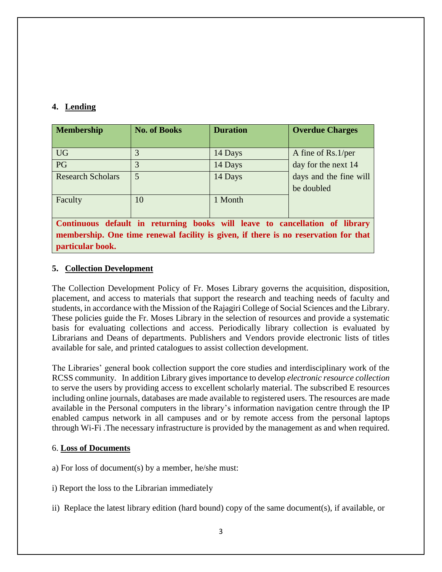## **4. Lending**

| <b>Membership</b>                                                                                                                                                  | <b>No. of Books</b> | <b>Duration</b>    | <b>Overdue Charges</b>                    |
|--------------------------------------------------------------------------------------------------------------------------------------------------------------------|---------------------|--------------------|-------------------------------------------|
| <b>UG</b><br>PG                                                                                                                                                    | 3<br>3              | 14 Days<br>14 Days | A fine of Rs.1/per<br>day for the next 14 |
| <b>Research Scholars</b>                                                                                                                                           | 5                   | 14 Days            | days and the fine will<br>be doubled      |
| Faculty                                                                                                                                                            | 10                  | 1 Month            |                                           |
| Continuous default in returning books will leave to cancellation of library<br>membership. One time renewal facility is given, if there is no reservation for that |                     |                    |                                           |

**particular book.** 

#### **5. Collection Development**

The Collection Development Policy of Fr. Moses Library governs the acquisition, disposition, placement, and access to materials that support the research and teaching needs of faculty and students, in accordance with the Mission of the Rajagiri College of Social Sciences and the Library. These policies guide the Fr. Moses Library in the selection of resources and provide a systematic basis for evaluating collections and access. Periodically library collection is evaluated by Librarians and Deans of departments. Publishers and Vendors provide electronic lists of titles available for sale, and printed catalogues to assist collection development.

The Libraries' general book collection support the core studies and interdisciplinary work of the RCSS community. In addition Library gives importance to develop *electronic resource collection* to serve the users by providing access to excellent scholarly material. The subscribed E resources including online journals, databases are made available to registered users. The resources are made available in the Personal computers in the library's information navigation centre through the IP enabled campus network in all campuses and or by remote access from the personal laptops through Wi-Fi .The necessary infrastructure is provided by the management as and when required.

#### 6. **Loss of Documents**

- a) For loss of document(s) by a member, he/she must:
- i) Report the loss to the Librarian immediately
- ii) Replace the latest library edition (hard bound) copy of the same document(s), if available, or